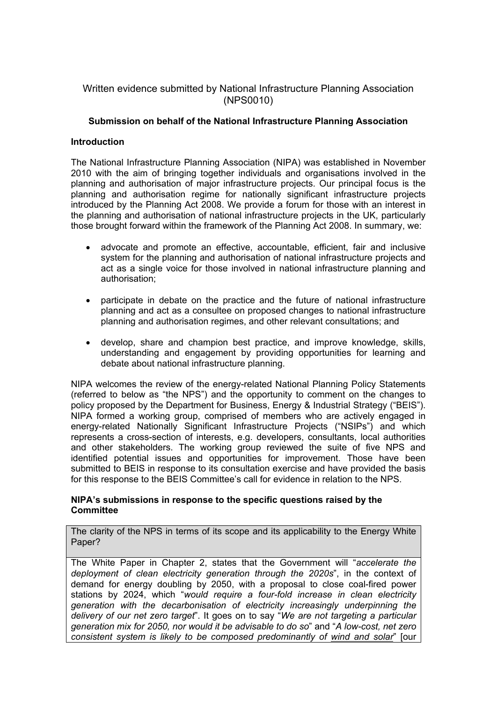# Written evidence submitted by National Infrastructure Planning Association (NPS0010)

## **Submission on behalf of the National Infrastructure Planning Association**

### **Introduction**

The National Infrastructure Planning Association (NIPA) was established in November 2010 with the aim of bringing together individuals and organisations involved in the planning and authorisation of major infrastructure projects. Our principal focus is the planning and authorisation regime for nationally significant infrastructure projects introduced by the Planning Act 2008. We provide a forum for those with an interest in the planning and authorisation of national infrastructure projects in the UK, particularly those brought forward within the framework of the Planning Act 2008. In summary, we:

- advocate and promote an effective, accountable, efficient, fair and inclusive system for the planning and authorisation of national infrastructure projects and act as a single voice for those involved in national infrastructure planning and authorisation;
- participate in debate on the practice and the future of national infrastructure planning and act as a consultee on proposed changes to national infrastructure planning and authorisation regimes, and other relevant consultations; and
- develop, share and champion best practice, and improve knowledge, skills, understanding and engagement by providing opportunities for learning and debate about national infrastructure planning.

NIPA welcomes the review of the energy-related National Planning Policy Statements (referred to below as "the NPS") and the opportunity to comment on the changes to policy proposed by the Department for Business, Energy & Industrial Strategy ("BEIS"). NIPA formed a working group, comprised of members who are actively engaged in energy-related Nationally Significant Infrastructure Projects ("NSIPs") and which represents a cross-section of interests, e.g. developers, consultants, local authorities and other stakeholders. The working group reviewed the suite of five NPS and identified potential issues and opportunities for improvement. Those have been submitted to BEIS in response to its consultation exercise and have provided the basis for this response to the BEIS Committee's call for evidence in relation to the NPS.

### **NIPA's submissions in response to the specific questions raised by the Committee**

The clarity of the NPS in terms of its scope and its applicability to the Energy White Paper?

The White Paper in Chapter 2, states that the Government will "*accelerate the deployment of clean electricity generation through the 2020s*", in the context of demand for energy doubling by 2050, with a proposal to close coal-fired power stations by 2024, which "*would require a four-fold increase in clean electricity generation with the decarbonisation of electricity increasingly underpinning the delivery of our net zero target*". It goes on to say "*We are not targeting a particular generation mix for 2050, nor would it be advisable to do so*" and "*A low-cost, net zero consistent system is likely to be composed predominantly of wind and solar*" [our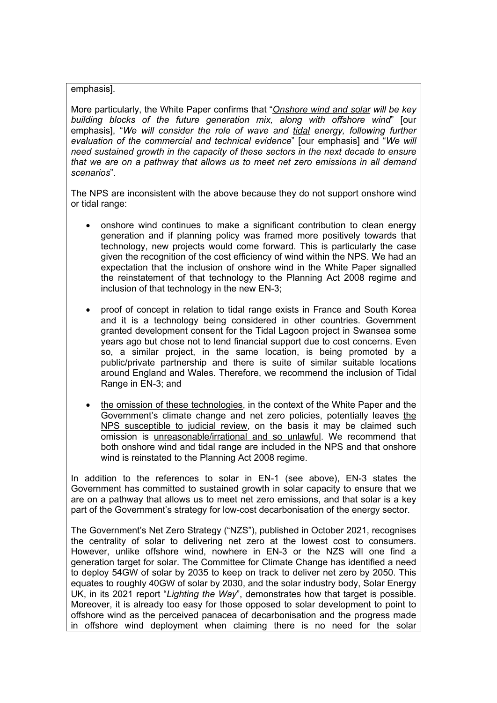#### emphasis].

More particularly, the White Paper confirms that "*Onshore wind and solar will be key building blocks of the future generation mix, along with offshore wind*" [our emphasis], "*We will consider the role of wave and tidal energy, following further evaluation of the commercial and technical evidence*" [our emphasis] and "*We will need sustained growth in the capacity of these sectors in the next decade to ensure that we are on a pathway that allows us to meet net zero emissions in all demand scenarios*".

The NPS are inconsistent with the above because they do not support onshore wind or tidal range:

- onshore wind continues to make a significant contribution to clean energy generation and if planning policy was framed more positively towards that technology, new projects would come forward. This is particularly the case given the recognition of the cost efficiency of wind within the NPS. We had an expectation that the inclusion of onshore wind in the White Paper signalled the reinstatement of that technology to the Planning Act 2008 regime and inclusion of that technology in the new EN-3;
- proof of concept in relation to tidal range exists in France and South Korea and it is a technology being considered in other countries. Government granted development consent for the Tidal Lagoon project in Swansea some years ago but chose not to lend financial support due to cost concerns. Even so, a similar project, in the same location, is being promoted by a public/private partnership and there is suite of similar suitable locations around England and Wales. Therefore, we recommend the inclusion of Tidal Range in EN-3; and
- the omission of these technologies, in the context of the White Paper and the Government's climate change and net zero policies, potentially leaves the NPS susceptible to judicial review, on the basis it may be claimed such omission is unreasonable/irrational and so unlawful. We recommend that both onshore wind and tidal range are included in the NPS and that onshore wind is reinstated to the Planning Act 2008 regime.

In addition to the references to solar in EN-1 (see above), EN-3 states the Government has committed to sustained growth in solar capacity to ensure that we are on a pathway that allows us to meet net zero emissions, and that solar is a key part of the Government's strategy for low-cost decarbonisation of the energy sector.

The Government's Net Zero Strategy ("NZS"), published in October 2021, recognises the centrality of solar to delivering net zero at the lowest cost to consumers. However, unlike offshore wind, nowhere in EN-3 or the NZS will one find a generation target for solar. The Committee for Climate Change has identified a need to deploy 54GW of solar by 2035 to keep on track to deliver net zero by 2050. This equates to roughly 40GW of solar by 2030, and the solar industry body, Solar Energy UK, in its 2021 report "*Lighting the Way*", demonstrates how that target is possible. Moreover, it is already too easy for those opposed to solar development to point to offshore wind as the perceived panacea of decarbonisation and the progress made in offshore wind deployment when claiming there is no need for the solar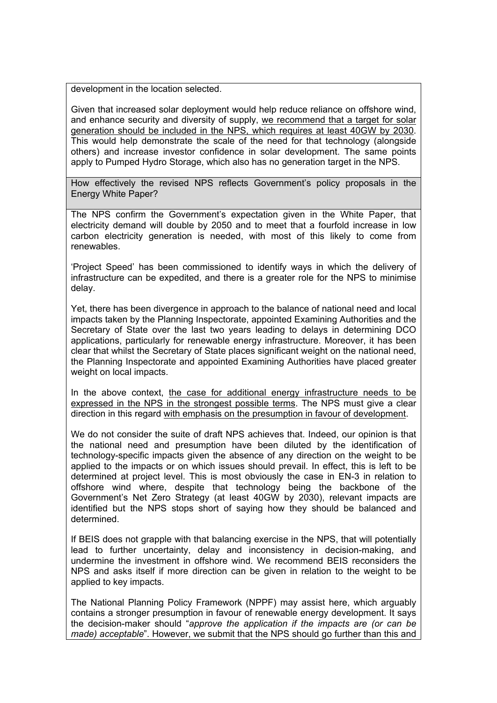development in the location selected.

Given that increased solar deployment would help reduce reliance on offshore wind, and enhance security and diversity of supply, we recommend that a target for solar generation should be included in the NPS, which requires at least 40GW by 2030. This would help demonstrate the scale of the need for that technology (alongside others) and increase investor confidence in solar development. The same points apply to Pumped Hydro Storage, which also has no generation target in the NPS.

How effectively the revised NPS reflects Government's policy proposals in the Energy White Paper?

The NPS confirm the Government's expectation given in the White Paper, that electricity demand will double by 2050 and to meet that a fourfold increase in low carbon electricity generation is needed, with most of this likely to come from renewables.

'Project Speed' has been commissioned to identify ways in which the delivery of infrastructure can be expedited, and there is a greater role for the NPS to minimise delay.

Yet, there has been divergence in approach to the balance of national need and local impacts taken by the Planning Inspectorate, appointed Examining Authorities and the Secretary of State over the last two years leading to delays in determining DCO applications, particularly for renewable energy infrastructure. Moreover, it has been clear that whilst the Secretary of State places significant weight on the national need, the Planning Inspectorate and appointed Examining Authorities have placed greater weight on local impacts.

In the above context, the case for additional energy infrastructure needs to be expressed in the NPS in the strongest possible terms. The NPS must give a clear direction in this regard with emphasis on the presumption in favour of development.

We do not consider the suite of draft NPS achieves that. Indeed, our opinion is that the national need and presumption have been diluted by the identification of technology-specific impacts given the absence of any direction on the weight to be applied to the impacts or on which issues should prevail. In effect, this is left to be determined at project level. This is most obviously the case in EN-3 in relation to offshore wind where, despite that technology being the backbone of the Government's Net Zero Strategy (at least 40GW by 2030), relevant impacts are identified but the NPS stops short of saying how they should be balanced and determined.

If BEIS does not grapple with that balancing exercise in the NPS, that will potentially lead to further uncertainty, delay and inconsistency in decision-making, and undermine the investment in offshore wind. We recommend BEIS reconsiders the NPS and asks itself if more direction can be given in relation to the weight to be applied to key impacts.

The National Planning Policy Framework (NPPF) may assist here, which arguably contains a stronger presumption in favour of renewable energy development. It says the decision-maker should "*approve the application if the impacts are (or can be made) acceptable*". However, we submit that the NPS should go further than this and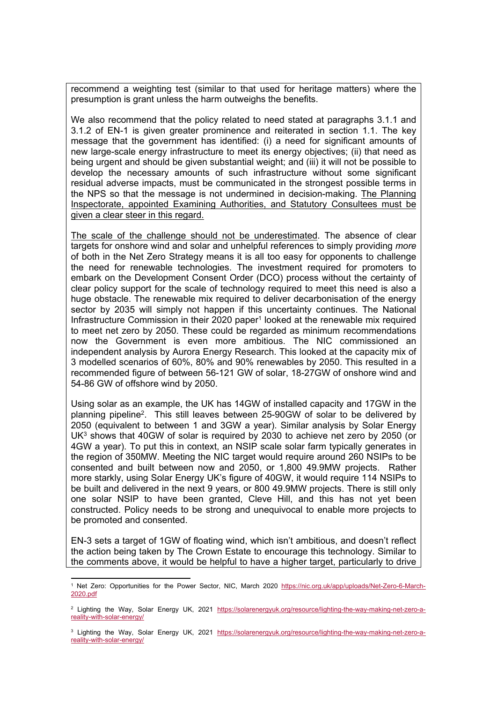recommend a weighting test (similar to that used for heritage matters) where the presumption is grant unless the harm outweighs the benefits.

We also recommend that the policy related to need stated at paragraphs 3.1.1 and 3.1.2 of EN-1 is given greater prominence and reiterated in section 1.1. The key message that the government has identified: (i) a need for significant amounts of new large-scale energy infrastructure to meet its energy objectives; (ii) that need as being urgent and should be given substantial weight; and (iii) it will not be possible to develop the necessary amounts of such infrastructure without some significant residual adverse impacts, must be communicated in the strongest possible terms in the NPS so that the message is not undermined in decision-making. The Planning Inspectorate, appointed Examining Authorities, and Statutory Consultees must be given a clear steer in this regard.

The scale of the challenge should not be underestimated. The absence of clear targets for onshore wind and solar and unhelpful references to simply providing *more* of both in the Net Zero Strategy means it is all too easy for opponents to challenge the need for renewable technologies. The investment required for promoters to embark on the Development Consent Order (DCO) process without the certainty of clear policy support for the scale of technology required to meet this need is also a huge obstacle. The renewable mix required to deliver decarbonisation of the energy sector by 2035 will simply not happen if this uncertainty continues. The National Infrastructure Commission in their 2020 paper<sup>1</sup> looked at the renewable mix required to meet net zero by 2050. These could be regarded as minimum recommendations now the Government is even more ambitious. The NIC commissioned an independent analysis by Aurora Energy Research. This looked at the capacity mix of 3 modelled scenarios of 60%, 80% and 90% renewables by 2050. This resulted in a recommended figure of between 56-121 GW of solar, 18-27GW of onshore wind and 54-86 GW of offshore wind by 2050.

Using solar as an example, the UK has 14GW of installed capacity and 17GW in the planning pipeline<sup>2</sup>. This still leaves between 25-90GW of solar to be delivered by 2050 (equivalent to between 1 and 3GW a year). Similar analysis by Solar Energy  $UK<sup>3</sup>$  shows that 40GW of solar is required by 2030 to achieve net zero by 2050 (or 4GW a year). To put this in context, an NSIP scale solar farm typically generates in the region of 350MW. Meeting the NIC target would require around 260 NSIPs to be consented and built between now and 2050, or 1,800 49.9MW projects. Rather more starkly, using Solar Energy UK's figure of 40GW, it would require 114 NSIPs to be built and delivered in the next 9 years, or 800 49.9MW projects. There is still only one solar NSIP to have been granted, Cleve Hill, and this has not yet been constructed. Policy needs to be strong and unequivocal to enable more projects to be promoted and consented.

EN-3 sets a target of 1GW of floating wind, which isn't ambitious, and doesn't reflect the action being taken by The Crown Estate to encourage this technology. Similar to the comments above, it would be helpful to have a higher target, particularly to drive

<sup>1</sup> Net Zero: Opportunities for the Power Sector, NIC, March 2020 [https://nic.org.uk/app/uploads/Net-Zero-6-March-](https://nic.org.uk/app/uploads/Net-Zero-6-March-2020.pdf)[2020.pdf](https://nic.org.uk/app/uploads/Net-Zero-6-March-2020.pdf)

<sup>2</sup> Lighting the Way, Solar Energy UK, 2021 [https://solarenergyuk.org/resource/lighting-the-way-making-net-zero-a](https://solarenergyuk.org/resource/lighting-the-way-making-net-zero-a-reality-with-solar-energy/)[reality-with-solar-energy/](https://solarenergyuk.org/resource/lighting-the-way-making-net-zero-a-reality-with-solar-energy/)

<sup>&</sup>lt;sup>3</sup> Lighting the Way, Solar Energy UK, 2021 [https://solarenergyuk.org/resource/lighting-the-way-making-net-zero-a](https://solarenergyuk.org/resource/lighting-the-way-making-net-zero-a-reality-with-solar-energy/)[reality-with-solar-energy/](https://solarenergyuk.org/resource/lighting-the-way-making-net-zero-a-reality-with-solar-energy/)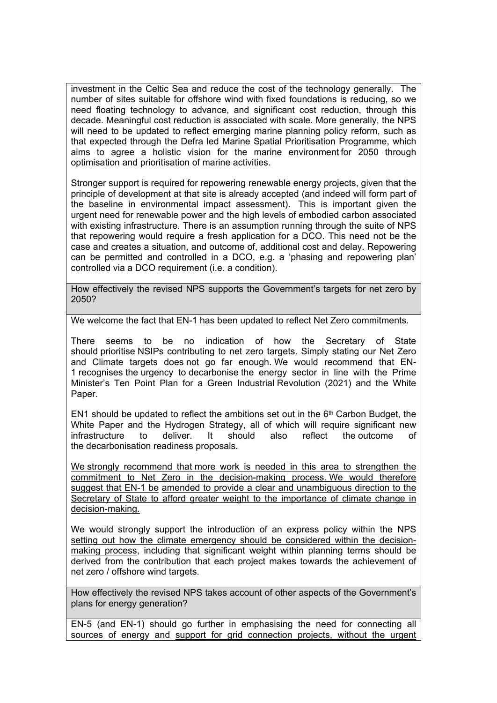investment in the Celtic Sea and reduce the cost of the technology generally. The number of sites suitable for offshore wind with fixed foundations is reducing, so we need floating technology to advance, and significant cost reduction, through this decade. Meaningful cost reduction is associated with scale. More generally, the NPS will need to be updated to reflect emerging marine planning policy reform, such as that expected through the Defra led Marine Spatial Prioritisation Programme, which aims to agree a holistic vision for the marine environment for 2050 through optimisation and prioritisation of marine activities.

Stronger support is required for repowering renewable energy projects, given that the principle of development at that site is already accepted (and indeed will form part of the baseline in environmental impact assessment). This is important given the urgent need for renewable power and the high levels of embodied carbon associated with existing infrastructure. There is an assumption running through the suite of NPS that repowering would require a fresh application for a DCO. This need not be the case and creates a situation, and outcome of, additional cost and delay. Repowering can be permitted and controlled in a DCO, e.g. a 'phasing and repowering plan' controlled via a DCO requirement (i.e. a condition).

How effectively the revised NPS supports the Government's targets for net zero by 2050?

We welcome the fact that EN-1 has been updated to reflect Net Zero commitments.

There seems to be no indication of how the Secretary of State should prioritise NSIPs contributing to net zero targets. Simply stating our Net Zero and Climate targets does not go far enough. We would recommend that EN-1 recognises the urgency to decarbonise the energy sector in line with the Prime Minister's Ten Point Plan for a Green Industrial Revolution (2021) and the White Paper.

EN1 should be updated to reflect the ambitions set out in the 6<sup>th</sup> Carbon Budget, the White Paper and the Hydrogen Strategy, all of which will require significant new infrastructure to deliver. It should also reflect the outcome of the decarbonisation readiness proposals.

We strongly recommend that more work is needed in this area to strengthen the commitment to Net Zero in the decision-making process. We would therefore suggest that EN-1 be amended to provide a clear and unambiguous direction to the Secretary of State to afford greater weight to the importance of climate change in decision-making.

We would strongly support the introduction of an express policy within the NPS setting out how the climate emergency should be considered within the decisionmaking process, including that significant weight within planning terms should be derived from the contribution that each project makes towards the achievement of net zero / offshore wind targets.

How effectively the revised NPS takes account of other aspects of the Government's plans for energy generation?

EN-5 (and EN-1) should go further in emphasising the need for connecting all sources of energy and support for grid connection projects, without the urgent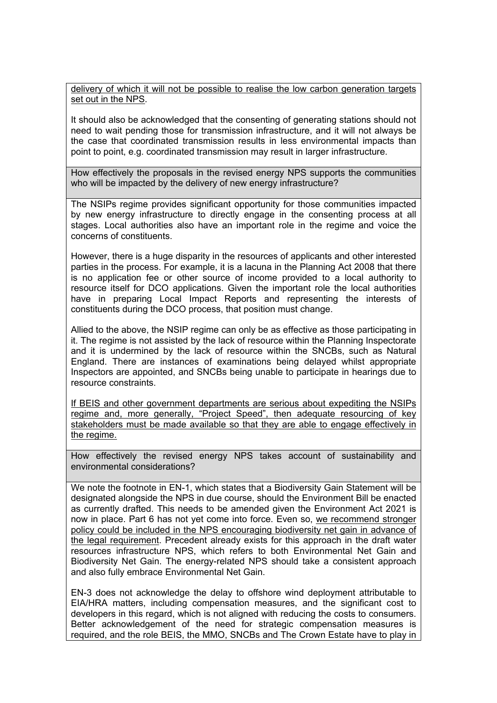delivery of which it will not be possible to realise the low carbon generation targets set out in the NPS.

It should also be acknowledged that the consenting of generating stations should not need to wait pending those for transmission infrastructure, and it will not always be the case that coordinated transmission results in less environmental impacts than point to point, e.g. coordinated transmission may result in larger infrastructure.

How effectively the proposals in the revised energy NPS supports the communities who will be impacted by the delivery of new energy infrastructure?

The NSIPs regime provides significant opportunity for those communities impacted by new energy infrastructure to directly engage in the consenting process at all stages. Local authorities also have an important role in the regime and voice the concerns of constituents.

However, there is a huge disparity in the resources of applicants and other interested parties in the process. For example, it is a lacuna in the Planning Act 2008 that there is no application fee or other source of income provided to a local authority to resource itself for DCO applications. Given the important role the local authorities have in preparing Local Impact Reports and representing the interests of constituents during the DCO process, that position must change.

Allied to the above, the NSIP regime can only be as effective as those participating in it. The regime is not assisted by the lack of resource within the Planning Inspectorate and it is undermined by the lack of resource within the SNCBs, such as Natural England. There are instances of examinations being delayed whilst appropriate Inspectors are appointed, and SNCBs being unable to participate in hearings due to resource constraints.

If BEIS and other government departments are serious about expediting the NSIPs regime and, more generally, "Project Speed", then adequate resourcing of key stakeholders must be made available so that they are able to engage effectively in the regime.

How effectively the revised energy NPS takes account of sustainability and environmental considerations?

We note the footnote in EN-1, which states that a Biodiversity Gain Statement will be designated alongside the NPS in due course, should the Environment Bill be enacted as currently drafted. This needs to be amended given the Environment Act 2021 is now in place. Part 6 has not yet come into force. Even so, we recommend stronger policy could be included in the NPS encouraging biodiversity net gain in advance of the legal requirement. Precedent already exists for this approach in the draft water resources infrastructure NPS, which refers to both Environmental Net Gain and Biodiversity Net Gain. The energy-related NPS should take a consistent approach and also fully embrace Environmental Net Gain.

EN-3 does not acknowledge the delay to offshore wind deployment attributable to EIA/HRA matters, including compensation measures, and the significant cost to developers in this regard, which is not aligned with reducing the costs to consumers. Better acknowledgement of the need for strategic compensation measures is required, and the role BEIS, the MMO, SNCBs and The Crown Estate have to play in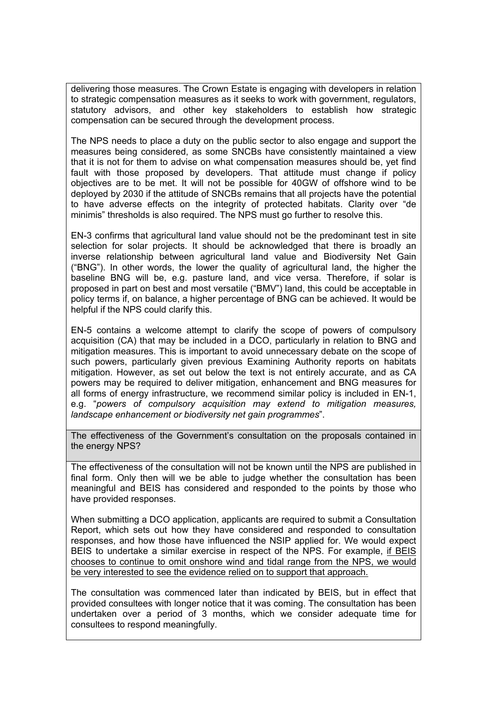delivering those measures. The Crown Estate is engaging with developers in relation to strategic compensation measures as it seeks to work with government, regulators, statutory advisors, and other key stakeholders to establish how strategic compensation can be secured through the development process.

The NPS needs to place a duty on the public sector to also engage and support the measures being considered, as some SNCBs have consistently maintained a view that it is not for them to advise on what compensation measures should be, yet find fault with those proposed by developers. That attitude must change if policy objectives are to be met. It will not be possible for 40GW of offshore wind to be deployed by 2030 if the attitude of SNCBs remains that all projects have the potential to have adverse effects on the integrity of protected habitats. Clarity over "de minimis" thresholds is also required. The NPS must go further to resolve this.

EN-3 confirms that agricultural land value should not be the predominant test in site selection for solar projects. It should be acknowledged that there is broadly an inverse relationship between agricultural land value and Biodiversity Net Gain ("BNG"). In other words, the lower the quality of agricultural land, the higher the baseline BNG will be, e.g. pasture land, and vice versa. Therefore, if solar is proposed in part on best and most versatile ("BMV") land, this could be acceptable in policy terms if, on balance, a higher percentage of BNG can be achieved. It would be helpful if the NPS could clarify this.

EN-5 contains a welcome attempt to clarify the scope of powers of compulsory acquisition (CA) that may be included in a DCO, particularly in relation to BNG and mitigation measures. This is important to avoid unnecessary debate on the scope of such powers, particularly given previous Examining Authority reports on habitats mitigation. However, as set out below the text is not entirely accurate, and as CA powers may be required to deliver mitigation, enhancement and BNG measures for all forms of energy infrastructure, we recommend similar policy is included in EN-1, e.g. "*powers of compulsory acquisition may extend to mitigation measures, landscape enhancement or biodiversity net gain programmes*".

The effectiveness of the Government's consultation on the proposals contained in the energy NPS?

The effectiveness of the consultation will not be known until the NPS are published in final form. Only then will we be able to judge whether the consultation has been meaningful and BEIS has considered and responded to the points by those who have provided responses.

When submitting a DCO application, applicants are required to submit a Consultation Report, which sets out how they have considered and responded to consultation responses, and how those have influenced the NSIP applied for. We would expect BEIS to undertake a similar exercise in respect of the NPS. For example, if BEIS chooses to continue to omit onshore wind and tidal range from the NPS, we would be very interested to see the evidence relied on to support that approach.

The consultation was commenced later than indicated by BEIS, but in effect that provided consultees with longer notice that it was coming. The consultation has been undertaken over a period of 3 months, which we consider adequate time for consultees to respond meaningfully.